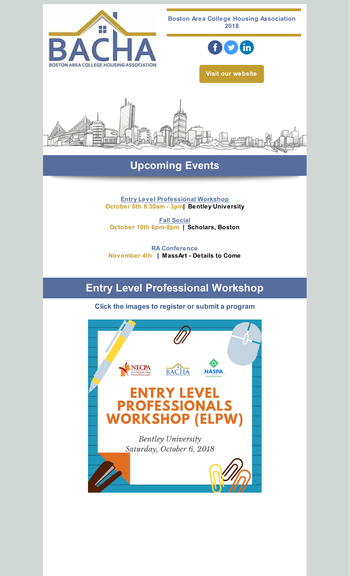